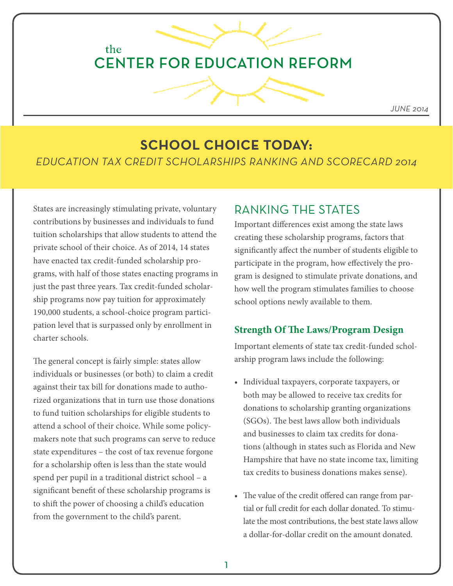## the **CENTER FOR EDUCATION REFORM**

*JUNE 2014*

# **SCHOOL CHOICE TODAY:**

*EDUCATION TAX CREDIT SCHOLARSHIPS RANKING AND SCORECARD 2014*

States are increasingly stimulating private, voluntary contributions by businesses and individuals to fund tuition scholarships that allow students to attend the private school of their choice. As of 2014, 14 states have enacted tax credit-funded scholarship programs, with half of those states enacting programs in just the past three years. Tax credit-funded scholarship programs now pay tuition for approximately 190,000 students, a school-choice program participation level that is surpassed only by enrollment in charter schools.

The general concept is fairly simple: states allow individuals or businesses (or both) to claim a credit against their tax bill for donations made to authorized organizations that in turn use those donations to fund tuition scholarships for eligible students to attend a school of their choice. While some policymakers note that such programs can serve to reduce state expenditures – the cost of tax revenue forgone for a scholarship often is less than the state would spend per pupil in a traditional district school – a significant benefit of these scholarship programs is to shift the power of choosing a child's education from the government to the child's parent.

## RANKING THE STATES

Important differences exist among the state laws creating these scholarship programs, factors that significantly affect the number of students eligible to participate in the program, how effectively the program is designed to stimulate private donations, and how well the program stimulates families to choose school options newly available to them.

#### **Strength Of The Laws/Program Design**

Important elements of state tax credit-funded scholarship program laws include the following:

- Individual taxpayers, corporate taxpayers, or both may be allowed to receive tax credits for donations to scholarship granting organizations (SGOs). The best laws allow both individuals and businesses to claim tax credits for donations (although in states such as Florida and New Hampshire that have no state income tax, limiting tax credits to business donations makes sense).
- The value of the credit offered can range from partial or full credit for each dollar donated. To stimulate the most contributions, the best state laws allow a dollar-for-dollar credit on the amount donated.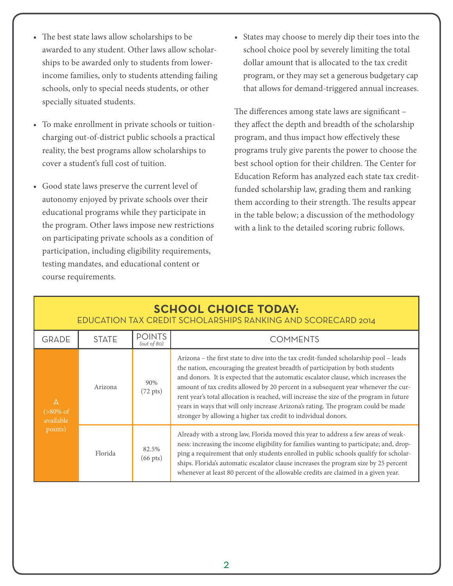- The best state laws allow scholarships to be awarded to any student. Other laws allow scholarships to be awarded only to students from lowerincome families, only to students attending failing schools, only to special needs students, or other specially situated students.
- To make enrollment in private schools or tuitioncharging out-of-district public schools a practical reality, the best programs allow scholarships to cover a student's full cost of tuition.
- Good state laws preserve the current level of autonomy enjoyed by private schools over their educational programs while they participate in the program. Other laws impose new restrictions on participating private schools as a condition of participation, including eligibility requirements, testing mandates, and educational content or course requirements.

• States may choose to merely dip their toes into the school choice pool by severely limiting the total dollar amount that is allocated to the tax credit program, or they may set a generous budgetary cap that allows for demand-triggered annual increases.

The differences among state laws are significant – they affect the depth and breadth of the scholarship program, and thus impact how effectively these programs truly give parents the power to choose the best school option for their children. The Center for Education Reform has analyzed each state tax creditfunded scholarship law, grading them and ranking them according to their strength. The results appear in the table below; a discussion of the methodology with a link to the detailed scoring rubric follows.

### **SCHOOL CHOICE TODAY:**  EDUCATION TAX CREDIT SCHOLARSHIPS RANKING AND SCORECARD 2014

| <b>GRADE</b>                                                   | <b>STATE</b> | <b>POINTS</b><br>(out of 80) | <b>COMMENTS</b>                                                                                                                                                                                                                                                                                                                                                                                                                                                                                                                                                                                         |  |  |  |
|----------------------------------------------------------------|--------------|------------------------------|---------------------------------------------------------------------------------------------------------------------------------------------------------------------------------------------------------------------------------------------------------------------------------------------------------------------------------------------------------------------------------------------------------------------------------------------------------------------------------------------------------------------------------------------------------------------------------------------------------|--|--|--|
| $\overline{A}$<br>$(>80\% \text{ of }$<br>available<br>points) | Arizona      | 90%<br>$(72 \text{ pts})$    | Arizona – the first state to dive into the tax credit-funded scholarship pool – leads<br>the nation, encouraging the greatest breadth of participation by both students<br>and donors. It is expected that the automatic escalator clause, which increases the<br>amount of tax credits allowed by 20 percent in a subsequent year whenever the cur-<br>rent year's total allocation is reached, will increase the size of the program in future<br>years in ways that will only increase Arizona's rating. The program could be made<br>stronger by allowing a higher tax credit to individual donors. |  |  |  |
|                                                                | Florida      | 82.5%<br>$(66 \text{ pts})$  | Already with a strong law, Florida moved this year to address a few areas of weak-<br>ness: increasing the income eligibility for families wanting to participate; and, drop-<br>ping a requirement that only students enrolled in public schools qualify for scholar-<br>ships. Florida's automatic escalator clause increases the program size by 25 percent<br>whenever at least 80 percent of the allowable credits are claimed in a given year.                                                                                                                                                    |  |  |  |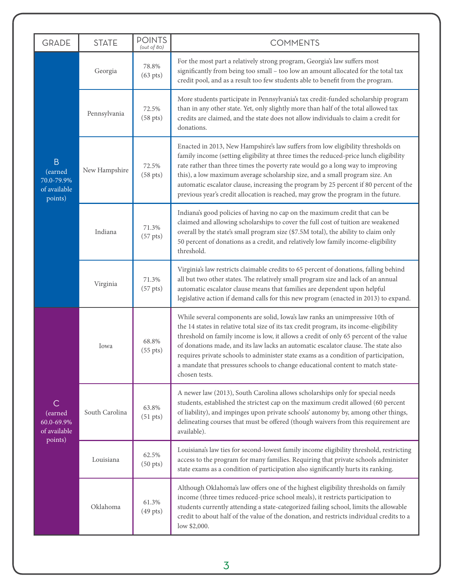| <b>GRADE</b>                                                       | <b>STATE</b>   | <b>POINTS</b><br>(out of 80)  | <b>COMMENTS</b>                                                                                                                                                                                                                                                                                                                                                                                                                                                                                                                                 |  |  |  |  |
|--------------------------------------------------------------------|----------------|-------------------------------|-------------------------------------------------------------------------------------------------------------------------------------------------------------------------------------------------------------------------------------------------------------------------------------------------------------------------------------------------------------------------------------------------------------------------------------------------------------------------------------------------------------------------------------------------|--|--|--|--|
| $\overline{B}$<br>(earned<br>70.0-79.9%<br>of available<br>points) | Georgia        | 78.8%<br>$(63 \text{ pts})$   | For the most part a relatively strong program, Georgia's law suffers most<br>significantly from being too small - too low an amount allocated for the total tax<br>credit pool, and as a result too few students able to benefit from the program.                                                                                                                                                                                                                                                                                              |  |  |  |  |
|                                                                    | Pennsylvania   | 72.5%<br>(58 <sub>pts</sub> ) | More students participate in Pennsylvania's tax credit-funded scholarship program<br>than in any other state. Yet, only slightly more than half of the total allowed tax<br>credits are claimed, and the state does not allow individuals to claim a credit for<br>donations.                                                                                                                                                                                                                                                                   |  |  |  |  |
|                                                                    | New Hampshire  | 72.5%<br>$(58 \text{ pts})$   | Enacted in 2013, New Hampshire's law suffers from low eligibility thresholds on<br>family income (setting eligibility at three times the reduced-price lunch eligibility<br>rate rather than three times the poverty rate would go a long way to improving<br>this), a low maximum average scholarship size, and a small program size. An<br>automatic escalator clause, increasing the program by 25 percent if 80 percent of the<br>previous year's credit allocation is reached, may grow the program in the future.                         |  |  |  |  |
|                                                                    | Indiana        | 71.3%<br>(57 <sub>pts</sub> ) | Indiana's good policies of having no cap on the maximum credit that can be<br>claimed and allowing scholarships to cover the full cost of tuition are weakened<br>overall by the state's small program size (\$7.5M total), the ability to claim only<br>50 percent of donations as a credit, and relatively low family income-eligibility<br>threshold.                                                                                                                                                                                        |  |  |  |  |
|                                                                    | Virginia       | 71.3%<br>$(57 \text{ pts})$   | Virginia's law restricts claimable credits to 65 percent of donations, falling behind<br>all but two other states. The relatively small program size and lack of an annual<br>automatic escalator clause means that families are dependent upon helpful<br>legislative action if demand calls for this new program (enacted in 2013) to expand.                                                                                                                                                                                                 |  |  |  |  |
| С<br>(earned<br>60.0-69.9%<br>of available<br>points)              | Iowa           | 68.8%<br>$(55 \text{ pts})$   | While several components are solid, Iowa's law ranks an unimpressive 10th of<br>the 14 states in relative total size of its tax credit program, its income-eligibility<br>threshold on family income is low, it allows a credit of only 65 percent of the value<br>of donations made, and its law lacks an automatic escalator clause. The state also<br>requires private schools to administer state exams as a condition of participation,<br>a mandate that pressures schools to change educational content to match state-<br>chosen tests. |  |  |  |  |
|                                                                    | South Carolina | 63.8%<br>$(51 \text{ pts})$   | A newer law (2013), South Carolina allows scholarships only for special needs<br>students, established the strictest cap on the maximum credit allowed (60 percent<br>of liability), and impinges upon private schools' autonomy by, among other things,<br>delineating courses that must be offered (though waivers from this requirement are<br>available).                                                                                                                                                                                   |  |  |  |  |
|                                                                    | Louisiana      | 62.5%<br>$(50 \text{ pts})$   | Louisiana's law ties for second-lowest family income eligibility threshold, restricting<br>access to the program for many families. Requiring that private schools administer<br>state exams as a condition of participation also significantly hurts its ranking.                                                                                                                                                                                                                                                                              |  |  |  |  |
|                                                                    | Oklahoma       | 61.3%<br>$(49 \text{ pts})$   | Although Oklahoma's law offers one of the highest eligibility thresholds on family<br>income (three times reduced-price school meals), it restricts participation to<br>students currently attending a state-categorized failing school, limits the allowable<br>credit to about half of the value of the donation, and restricts individual credits to a<br>low \$2,000.                                                                                                                                                                       |  |  |  |  |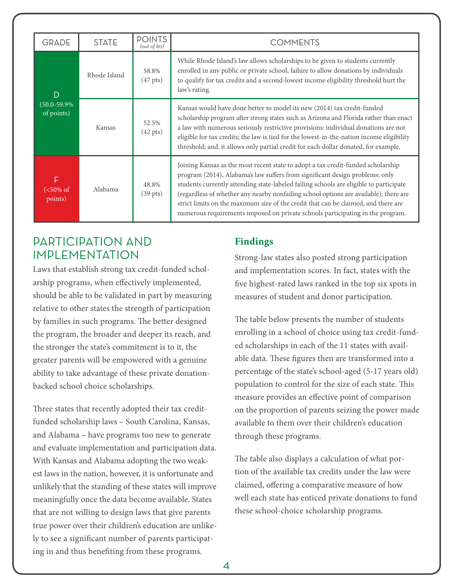| <b>GRADE</b>                         | <b>STATE</b> | <b>POINTS</b><br>(out of 80) | <b>COMMENTS</b>                                                                                                                                                                                                                                                                                                                                                                                                                                                                                                             |  |  |  |  |
|--------------------------------------|--------------|------------------------------|-----------------------------------------------------------------------------------------------------------------------------------------------------------------------------------------------------------------------------------------------------------------------------------------------------------------------------------------------------------------------------------------------------------------------------------------------------------------------------------------------------------------------------|--|--|--|--|
| D<br>$(50.0 - 59.9\%)$<br>of points) | Rhode Island | 58.8%<br>$(47 \text{ pts})$  | While Rhode Island's law allows scholarships to be given to students currently<br>enrolled in any public or private school, failure to allow donations by individuals<br>to qualify for tax credits and a second-lowest income eligibility threshold hurt the<br>law's rating.                                                                                                                                                                                                                                              |  |  |  |  |
|                                      | Kansas       | 52.5%<br>$(42 \text{ pts})$  | Kansas would have done better to model its new (2014) tax credit-funded<br>scholarship program after strong states such as Arizona and Florida rather than enact<br>a law with numerous seriously restrictive provisions: individual donations are not<br>eligible for tax credits; the law is tied for the lowest-in-the-nation income eligibility<br>threshold; and, it allows only partial credit for each dollar donated, for example.                                                                                  |  |  |  |  |
| F<br>$(<50\% \text{ of }$<br>points) | Alabama      | 48.8%<br>$(39 \text{ pts})$  | Joining Kansas as the most recent state to adopt a tax credit-funded scholarship<br>program (2014), Alabama's law suffers from significant design problems: only<br>students currently attending state-labeled failing schools are eligible to participate<br>(regardless of whether any nearby nonfailing school options are available); there are<br>strict limits on the maximum size of the credit that can be claimed, and there are<br>numerous requirements imposed on private schools participating in the program. |  |  |  |  |

## PARTICIPATION AND IMPI EMENTATION

Laws that establish strong tax credit-funded scholarship programs, when effectively implemented, should be able to be validated in part by measuring relative to other states the strength of participation by families in such programs. The better designed the program, the broader and deeper its reach, and the stronger the state's commitment is to it, the greater parents will be empowered with a genuine ability to take advantage of these private donationbacked school choice scholarships.

Three states that recently adopted their tax creditfunded scholarship laws – South Carolina, Kansas, and Alabama – have programs too new to generate and evaluate implementation and participation data. With Kansas and Alabama adopting the two weakest laws in the nation, however, it is unfortunate and unlikely that the standing of these states will improve meaningfully once the data become available. States that are not willing to design laws that give parents true power over their children's education are unlikely to see a significant number of parents participating in and thus benefiting from these programs.

## **Findings**

Strong-law states also posted strong participation and implementation scores. In fact, states with the five highest-rated laws ranked in the top six spots in measures of student and donor participation.

The table below presents the number of students enrolling in a school of choice using tax credit-funded scholarships in each of the 11 states with available data. These figures then are transformed into a percentage of the state's school-aged (5-17 years old) population to control for the size of each state. This measure provides an effective point of comparison on the proportion of parents seizing the power made available to them over their children's education through these programs.

The table also displays a calculation of what portion of the available tax credits under the law were claimed, offering a comparative measure of how well each state has enticed private donations to fund these school-choice scholarship programs.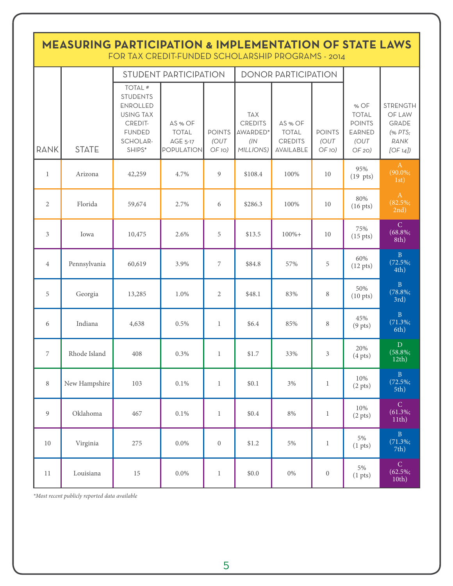| <b>MEASURING PARTICIPATION &amp; IMPLEMENTATION OF STATE LAWS</b><br>FOR TAX CREDIT-FUNDED SCHOLARSHIP PROGRAMS - 2014 |               |                                                                                                                                |                                                                 |                                           |                                                              |                                                        |                                           |                                                                          |                                                                          |  |  |
|------------------------------------------------------------------------------------------------------------------------|---------------|--------------------------------------------------------------------------------------------------------------------------------|-----------------------------------------------------------------|-------------------------------------------|--------------------------------------------------------------|--------------------------------------------------------|-------------------------------------------|--------------------------------------------------------------------------|--------------------------------------------------------------------------|--|--|
|                                                                                                                        |               |                                                                                                                                | <b>STUDENT PARTICIPATION</b>                                    |                                           |                                                              | <b>DONOR PARTICIPATION</b>                             |                                           |                                                                          |                                                                          |  |  |
| RANK                                                                                                                   | <b>STATE</b>  | TOTAL <sup>#</sup><br><b>STUDENTS</b><br><b>ENROLLED</b><br><b>USING TAX</b><br>CREDIT-<br><b>FUNDED</b><br>SCHOLAR-<br>SHIPS* | AS % OF<br><b>TOTAL</b><br><b>AGE 5-17</b><br><b>POPULATION</b> | <b>POINTS</b><br>(OUT<br>OF <sub>10</sub> | <b>TAX</b><br><b>CREDITS</b><br>AWARDED*<br>(1)<br>MILLIONS) | AS % OF<br><b>TOTAL</b><br><b>CREDITS</b><br>AVAILABLE | <b>POINTS</b><br>(OUT<br>OF <sub>10</sub> | % OF<br><b>TOTAL</b><br><b>POINTS</b><br><b>EARNED</b><br>(OUT<br>OF 20) | <b>STRENGTH</b><br>OF LAW<br><b>GRADE</b><br>(% PTS;<br>RANK<br>[OF 14]) |  |  |
| $\mathbf{1}$                                                                                                           | Arizona       | 42,259                                                                                                                         | 4.7%                                                            | 9                                         | \$108.4                                                      | 100%                                                   | 10                                        | 95%<br>$(19 \text{ pts})$                                                | A<br>$(90.0\%;$<br>1st)                                                  |  |  |
| $\overline{2}$                                                                                                         | Florida       | 59,674                                                                                                                         | 2.7%                                                            | 6                                         | \$286.3                                                      | 100%                                                   | 10                                        | 80%<br>$(16 \text{ pts})$                                                | $\mathbf{A}$<br>$(82.5\%;$<br>2nd)                                       |  |  |
| 3                                                                                                                      | Iowa          | 10,475                                                                                                                         | 2.6%                                                            | 5                                         | \$13.5                                                       | $100% +$                                               | 10                                        | 75%<br>$(15 \text{ pts})$                                                | $\mathcal{C}$<br>$(68.8\%;$<br>8th)                                      |  |  |
| $\overline{4}$                                                                                                         | Pennsylvania  | 60,619                                                                                                                         | 3.9%                                                            | 7                                         | \$84.8                                                       | 57%                                                    | 5                                         | 60%<br>$(12 \text{ pts})$                                                | $\mathbf{B}$<br>$(72.5\%;$<br>4th)                                       |  |  |
| 5                                                                                                                      | Georgia       | 13,285                                                                                                                         | 1.0%                                                            | $\overline{2}$                            | \$48.1                                                       | 83%                                                    | 8                                         | 50%<br>$(10 \text{ pts})$                                                | B<br>$(78.8\%;$<br>3rd)                                                  |  |  |
| 6                                                                                                                      | Indiana       | 4,638                                                                                                                          | 0.5%                                                            | $\mathbf{1}$                              | \$6.4                                                        | 85%                                                    | 8                                         | 45%<br>$(9$ pts)                                                         | $\, {\bf B}$<br>$(71.3\%;$<br>6th)                                       |  |  |
| $\overline{7}$                                                                                                         | Rhode Island  | 408                                                                                                                            | 0.3%                                                            | $\mathbf{1}$                              | \$1.7                                                        | 33%                                                    | 3                                         | 20%<br>(4 <i>pts</i> )                                                   | ${\bf D}$<br>$(58.8\%;$<br>12th)                                         |  |  |
| 8                                                                                                                      | New Hampshire | 103                                                                                                                            | $0.1\%$                                                         | $\mathbf{1}$                              | \$0.1                                                        | 3%                                                     | $\mathbf{1}$                              | 10%<br>(2 <i>pts</i> )                                                   | $\, {\bf B} \,$<br>$(72.5\%;$<br>5th)                                    |  |  |
| 9                                                                                                                      | Oklahoma      | 467                                                                                                                            | $0.1\%$                                                         | $\mathbf{1}$                              | \$0.4                                                        | $8\%$                                                  | $\mathbf{1}$                              | $10\%$<br>(2 <i>pts</i> )                                                | $\overline{C}$<br>$(61.3\%;$<br>11th)                                    |  |  |
| 10                                                                                                                     | Virginia      | 275                                                                                                                            | $0.0\%$                                                         | $\boldsymbol{0}$                          | \$1.2                                                        | 5%                                                     | $\mathbf{1}$                              | $5\%$<br>(1 <sub>pts</sub> )                                             | $\, {\bf B} \,$<br>$(71.3\%;$<br>7th)                                    |  |  |
| $11\,$                                                                                                                 | Louisiana     | $15\,$                                                                                                                         | $0.0\%$                                                         | $\mathbf{1}$                              | \$0.0                                                        | $0\%$                                                  | $\boldsymbol{0}$                          | 5%<br>(1 <sub>pts</sub> )                                                | ${\bf C}$<br>$(62.5\%;$<br>10th)                                         |  |  |

*\*Most recent publicly reported data available*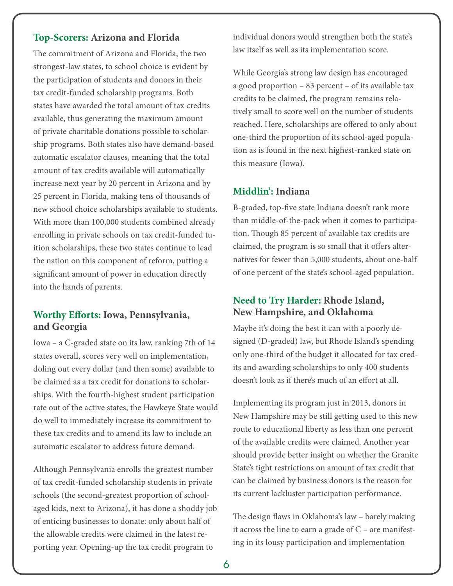### **Top-Scorers: Arizona and Florida**

The commitment of Arizona and Florida, the two strongest-law states, to school choice is evident by the participation of students and donors in their tax credit-funded scholarship programs. Both states have awarded the total amount of tax credits available, thus generating the maximum amount of private charitable donations possible to scholarship programs. Both states also have demand-based automatic escalator clauses, meaning that the total amount of tax credits available will automatically increase next year by 20 percent in Arizona and by 25 percent in Florida, making tens of thousands of new school choice scholarships available to students. With more than 100,000 students combined already enrolling in private schools on tax credit-funded tuition scholarships, these two states continue to lead the nation on this component of reform, putting a significant amount of power in education directly into the hands of parents.

#### **Worthy Efforts: Iowa, Pennsylvania, and Georgia**

Iowa – a C-graded state on its law, ranking 7th of 14 states overall, scores very well on implementation, doling out every dollar (and then some) available to be claimed as a tax credit for donations to scholarships. With the fourth-highest student participation rate out of the active states, the Hawkeye State would do well to immediately increase its commitment to these tax credits and to amend its law to include an automatic escalator to address future demand.

Although Pennsylvania enrolls the greatest number of tax credit-funded scholarship students in private schools (the second-greatest proportion of schoolaged kids, next to Arizona), it has done a shoddy job of enticing businesses to donate: only about half of the allowable credits were claimed in the latest reporting year. Opening-up the tax credit program to

individual donors would strengthen both the state's law itself as well as its implementation score.

While Georgia's strong law design has encouraged a good proportion – 83 percent – of its available tax credits to be claimed, the program remains relatively small to score well on the number of students reached. Here, scholarships are offered to only about one-third the proportion of its school-aged population as is found in the next highest-ranked state on this measure (Iowa).

#### **Middlin': Indiana**

B-graded, top-five state Indiana doesn't rank more than middle-of-the-pack when it comes to participation. Though 85 percent of available tax credits are claimed, the program is so small that it offers alternatives for fewer than 5,000 students, about one-half of one percent of the state's school-aged population.

#### **Need to Try Harder: Rhode Island, New Hampshire, and Oklahoma**

Maybe it's doing the best it can with a poorly designed (D-graded) law, but Rhode Island's spending only one-third of the budget it allocated for tax credits and awarding scholarships to only 400 students doesn't look as if there's much of an effort at all.

Implementing its program just in 2013, donors in New Hampshire may be still getting used to this new route to educational liberty as less than one percent of the available credits were claimed. Another year should provide better insight on whether the Granite State's tight restrictions on amount of tax credit that can be claimed by business donors is the reason for its current lackluster participation performance.

The design flaws in Oklahoma's law – barely making it across the line to earn a grade of C – are manifesting in its lousy participation and implementation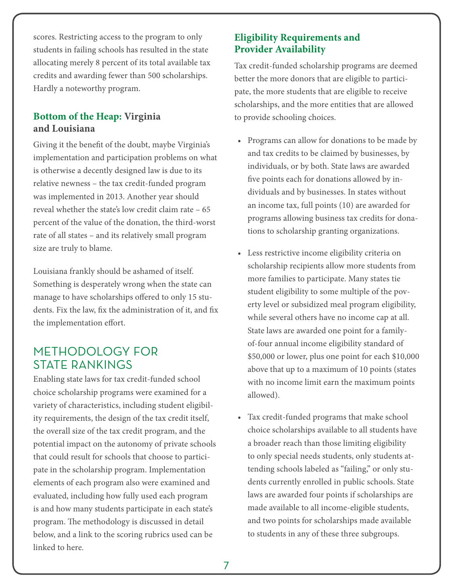scores. Restricting access to the program to only students in failing schools has resulted in the state allocating merely 8 percent of its total available tax credits and awarding fewer than 500 scholarships. Hardly a noteworthy program.

### **Bottom of the Heap: Virginia and Louisiana**

Giving it the benefit of the doubt, maybe Virginia's implementation and participation problems on what is otherwise a decently designed law is due to its relative newness – the tax credit-funded program was implemented in 2013. Another year should reveal whether the state's low credit claim rate – 65 percent of the value of the donation, the third-worst rate of all states – and its relatively small program size are truly to blame.

Louisiana frankly should be ashamed of itself. Something is desperately wrong when the state can manage to have scholarships offered to only 15 students. Fix the law, fix the administration of it, and fix the implementation effort.

## METHODOLOGY FOR STATE RANKINGS

Enabling state laws for tax credit-funded school choice scholarship programs were examined for a variety of characteristics, including student eligibility requirements, the design of the tax credit itself, the overall size of the tax credit program, and the potential impact on the autonomy of private schools that could result for schools that choose to participate in the scholarship program. Implementation elements of each program also were examined and evaluated, including how fully used each program is and how many students participate in each state's program. The methodology is discussed in detail below, and a link to the scoring rubrics used can be linked to here.

### **Eligibility Requirements and Provider Availability**

Tax credit-funded scholarship programs are deemed better the more donors that are eligible to participate, the more students that are eligible to receive scholarships, and the more entities that are allowed to provide schooling choices.

- Programs can allow for donations to be made by and tax credits to be claimed by businesses, by individuals, or by both. State laws are awarded five points each for donations allowed by individuals and by businesses. In states without an income tax, full points (10) are awarded for programs allowing business tax credits for donations to scholarship granting organizations.
- Less restrictive income eligibility criteria on scholarship recipients allow more students from more families to participate. Many states tie student eligibility to some multiple of the poverty level or subsidized meal program eligibility, while several others have no income cap at all. State laws are awarded one point for a familyof-four annual income eligibility standard of \$50,000 or lower, plus one point for each \$10,000 above that up to a maximum of 10 points (states with no income limit earn the maximum points allowed).
- Tax credit-funded programs that make school choice scholarships available to all students have a broader reach than those limiting eligibility to only special needs students, only students attending schools labeled as "failing," or only students currently enrolled in public schools. State laws are awarded four points if scholarships are made available to all income-eligible students, and two points for scholarships made available to students in any of these three subgroups.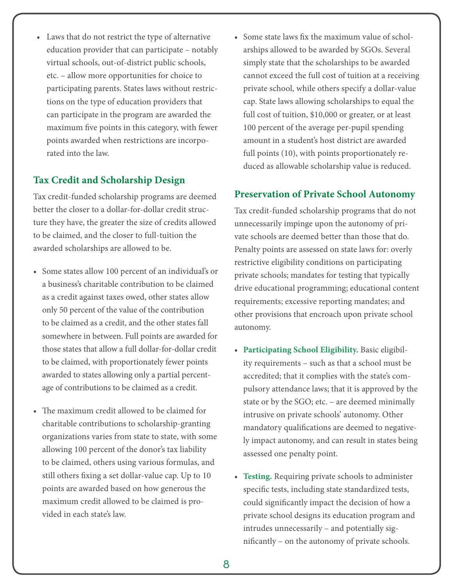• Laws that do not restrict the type of alternative education provider that can participate – notably virtual schools, out-of-district public schools, etc. – allow more opportunities for choice to participating parents. States laws without restrictions on the type of education providers that can participate in the program are awarded the maximum five points in this category, with fewer points awarded when restrictions are incorporated into the law.

### **Tax Credit and Scholarship Design**

Tax credit-funded scholarship programs are deemed better the closer to a dollar-for-dollar credit structure they have, the greater the size of credits allowed to be claimed, and the closer to full-tuition the awarded scholarships are allowed to be.

- Some states allow 100 percent of an individual's or a business's charitable contribution to be claimed as a credit against taxes owed, other states allow only 50 percent of the value of the contribution to be claimed as a credit, and the other states fall somewhere in between. Full points are awarded for those states that allow a full dollar-for-dollar credit to be claimed, with proportionately fewer points awarded to states allowing only a partial percentage of contributions to be claimed as a credit.
- The maximum credit allowed to be claimed for charitable contributions to scholarship-granting organizations varies from state to state, with some allowing 100 percent of the donor's tax liability to be claimed, others using various formulas, and still others fixing a set dollar-value cap. Up to 10 points are awarded based on how generous the maximum credit allowed to be claimed is provided in each state's law.

• Some state laws fix the maximum value of scholarships allowed to be awarded by SGOs. Several simply state that the scholarships to be awarded cannot exceed the full cost of tuition at a receiving private school, while others specify a dollar-value cap. State laws allowing scholarships to equal the full cost of tuition, \$10,000 or greater, or at least 100 percent of the average per-pupil spending amount in a student's host district are awarded full points (10), with points proportionately reduced as allowable scholarship value is reduced.

#### **Preservation of Private School Autonomy**

Tax credit-funded scholarship programs that do not unnecessarily impinge upon the autonomy of private schools are deemed better than those that do. Penalty points are assessed on state laws for: overly restrictive eligibility conditions on participating private schools; mandates for testing that typically drive educational programming; educational content requirements; excessive reporting mandates; and other provisions that encroach upon private school autonomy.

- **Participating School Eligibility.** Basic eligibility requirements – such as that a school must be accredited; that it complies with the state's compulsory attendance laws; that it is approved by the state or by the SGO; etc. – are deemed minimally intrusive on private schools' autonomy. Other mandatory qualifications are deemed to negatively impact autonomy, and can result in states being assessed one penalty point.
- **Testing.** Requiring private schools to administer specific tests, including state standardized tests, could significantly impact the decision of how a private school designs its education program and intrudes unnecessarily – and potentially significantly – on the autonomy of private schools.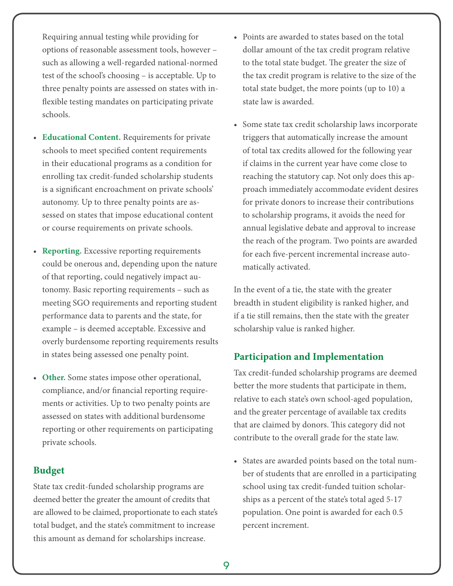Requiring annual testing while providing for options of reasonable assessment tools, however – such as allowing a well-regarded national-normed test of the school's choosing – is acceptable. Up to three penalty points are assessed on states with inflexible testing mandates on participating private schools.

- **Educational Content.** Requirements for private schools to meet specified content requirements in their educational programs as a condition for enrolling tax credit-funded scholarship students is a significant encroachment on private schools' autonomy. Up to three penalty points are assessed on states that impose educational content or course requirements on private schools.
- **Reporting.** Excessive reporting requirements could be onerous and, depending upon the nature of that reporting, could negatively impact autonomy. Basic reporting requirements – such as meeting SGO requirements and reporting student performance data to parents and the state, for example – is deemed acceptable. Excessive and overly burdensome reporting requirements results in states being assessed one penalty point.
- **Other.** Some states impose other operational, compliance, and/or financial reporting requirements or activities. Up to two penalty points are assessed on states with additional burdensome reporting or other requirements on participating private schools.

#### **Budget**

State tax credit-funded scholarship programs are deemed better the greater the amount of credits that are allowed to be claimed, proportionate to each state's total budget, and the state's commitment to increase this amount as demand for scholarships increase.

- Points are awarded to states based on the total dollar amount of the tax credit program relative to the total state budget. The greater the size of the tax credit program is relative to the size of the total state budget, the more points (up to 10) a state law is awarded.
- Some state tax credit scholarship laws incorporate triggers that automatically increase the amount of total tax credits allowed for the following year if claims in the current year have come close to reaching the statutory cap. Not only does this approach immediately accommodate evident desires for private donors to increase their contributions to scholarship programs, it avoids the need for annual legislative debate and approval to increase the reach of the program. Two points are awarded for each five-percent incremental increase automatically activated.

In the event of a tie, the state with the greater breadth in student eligibility is ranked higher, and if a tie still remains, then the state with the greater scholarship value is ranked higher.

#### **Participation and Implementation**

Tax credit-funded scholarship programs are deemed better the more students that participate in them, relative to each state's own school-aged population, and the greater percentage of available tax credits that are claimed by donors. This category did not contribute to the overall grade for the state law.

• States are awarded points based on the total number of students that are enrolled in a participating school using tax credit-funded tuition scholarships as a percent of the state's total aged 5-17 population. One point is awarded for each 0.5 percent increment.